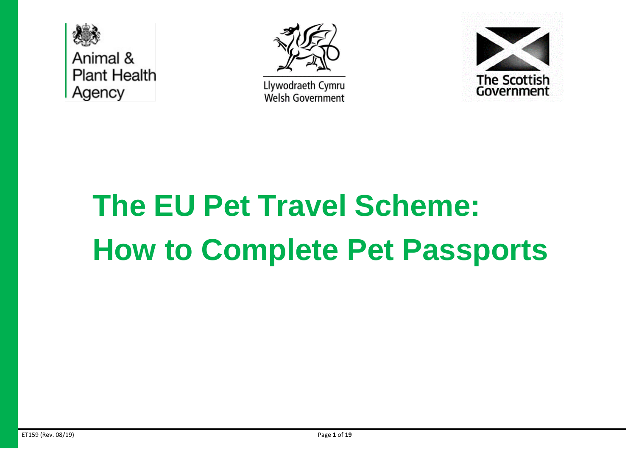



Llywodraeth Cymru **Welsh Government** 



# **The EU Pet Travel Scheme: How to Complete Pet Passports**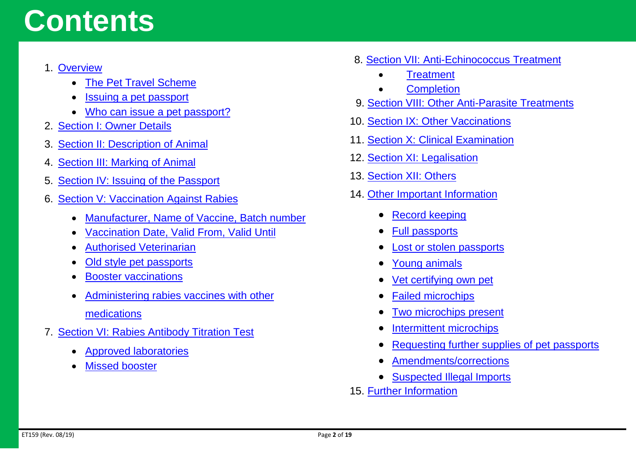### **Contents**

#### 1. [Overview](#page-2-0)

- [The Pet Travel Scheme](#page-2-1)
- [Issuing a pet passport](#page-2-2)
- [Who can issue a pet passport?](#page-3-0)
- 2. [Section I: Owner Details](#page-4-0)
- 3. [Section II: Description of Animal](#page-5-0)
- 4. [Section III: Marking of Animal](#page-6-0)
- 5. [Section IV: Issuing of the Passport](#page-7-0)
- 6. [Section V: Vaccination Against Rabies](#page-8-0)
	- [Manufacturer, Name of Vaccine, Batch number](#page-8-1)
	- [Vaccination Date, Valid From, Valid Until](#page-9-0)
	- [Authorised Veterinarian](#page-9-1)
	- [Old style pet passports](#page-9-2)
	- **[Booster vaccinations](#page-10-0)**
	- [Administering rabies vaccines with other](#page-10-1)  [medications](#page-10-1)
- 7. [Section VI: Rabies Antibody Titration Test](#page-11-0)
	- [Approved laboratories](#page-11-1)
	- **[Missed booster](#page-11-2)**
- 8. [Section VII: Anti-Echinococcus Treatment](#page-12-0)
	- **[Treatment](#page-12-1)**
	- **[Completion](#page-12-2)**
- 9. [Section VIII: Other Anti-Parasite Treatments](#page-13-0)
- 10. [Section IX: Other Vaccinations](#page-13-1)
- 11. [Section X: Clinical Examination](#page-13-2)
- 12. [Section XI: Legalisation](#page-13-3)
- 13. [Section XII: Others](#page-13-4)
- 14. [Other Important Information](#page-14-0)
	- [Record keeping](#page-14-1)
	- [Full passports](#page-14-2)
	- [Lost or stolen passports](#page-15-0)
	- [Young animals](#page-15-1)
	- [Vet certifying own pet](#page-15-2)
	- [Failed microchips](#page-15-3)
	- [Two microchips present](#page-16-0)
	- [Intermittent microchips](#page-16-1)
	- [Requesting further supplies of pet passports](#page-16-2)
	- [Amendments/corrections](#page-17-0)
	- [Suspected Illegal Imports](#page-17-1)
- 15. [Further Information](#page-18-0)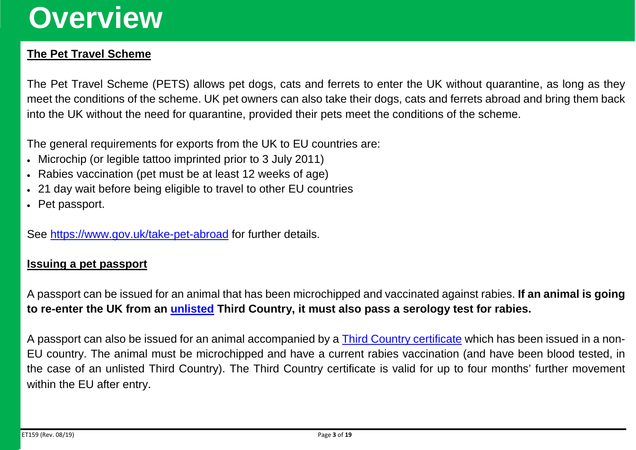### <span id="page-2-0"></span>**Overview**

#### <span id="page-2-1"></span>**The Pet Travel Scheme**

The Pet Travel Scheme (PETS) allows pet dogs, cats and ferrets to enter the UK without quarantine, as long as they meet the conditions of the scheme. UK pet owners can also take their dogs, cats and ferrets abroad and bring them back into the UK without the need for quarantine, provided their pets meet the conditions of the scheme.

The general requirements for exports from the UK to EU countries are:

- Microchip (or legible tattoo imprinted prior to 3 July 2011)
- Rabies vaccination (pet must be at least 12 weeks of age)
- 21 day wait before being eligible to travel to other EU countries
- Pet passport.

See<https://www.gov.uk/take-pet-abroad> for further details.

#### <span id="page-2-2"></span>**Issuing a pet passport**

A passport can be issued for an animal that has been microchipped and vaccinated against rabies. **If an animal is going to re-enter the UK from an [unlisted](https://www.gov.uk/take-pet-abroad/listed-and-unlisted-countries) Third Country, it must also pass a serology test for rabies.**

A passport can also be issued for an animal accompanied by a [Third Country certificate](https://www.gov.uk/government/publications/pet-travel-certificate-for-movement-of-dogs-cats-and-ferrets-from-third-countries) which has been issued in a non-EU country. The animal must be microchipped and have a current rabies vaccination (and have been blood tested, in the case of an unlisted Third Country). The Third Country certificate is valid for up to four months' further movement within the EU after entry.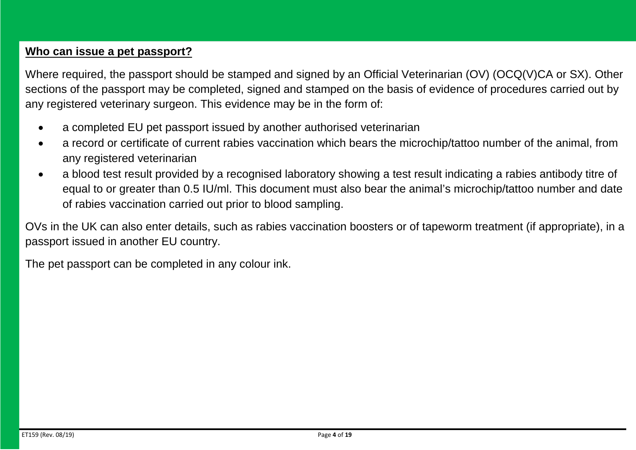#### <span id="page-3-0"></span>**Who can issue a pet passport?**

Where required, the passport should be stamped and signed by an Official Veterinarian (OV) (OCQ(V)CA or SX). Other sections of the passport may be completed, signed and stamped on the basis of evidence of procedures carried out by any registered veterinary surgeon. This evidence may be in the form of:

- a completed EU pet passport issued by another authorised veterinarian
- a record or certificate of current rabies vaccination which bears the microchip/tattoo number of the animal, from any registered veterinarian
- a blood test result provided by a recognised laboratory showing a test result indicating a rabies antibody titre of equal to or greater than 0.5 IU/ml. This document must also bear the animal's microchip/tattoo number and date of rabies vaccination carried out prior to blood sampling.

OVs in the UK can also enter details, such as rabies vaccination boosters or of tapeworm treatment (if appropriate), in a passport issued in another EU country.

The pet passport can be completed in any colour ink.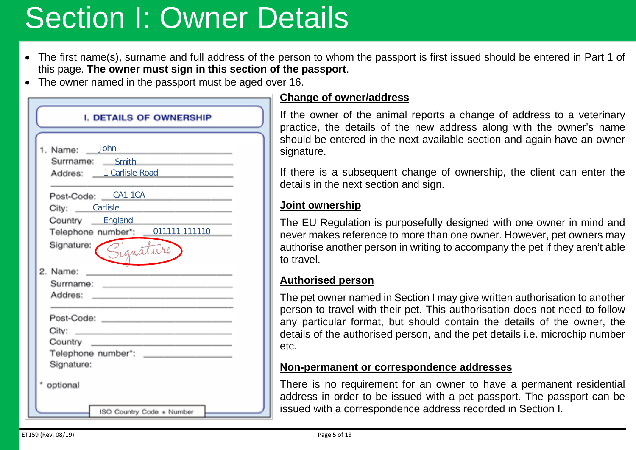### <span id="page-4-0"></span>Section I: Owner Details

- The first name(s), surname and full address of the person to whom the passport is first issued should be entered in Part 1 of this page. **The owner must sign in this section of the passport**.
- The owner named in the passport must be aged over 16.

| <b>I. DETAILS OF OWNERSHIP</b>                                                                                                    |
|-----------------------------------------------------------------------------------------------------------------------------------|
|                                                                                                                                   |
| 1. Name: John                                                                                                                     |
| the control of the control of the control of the control of the<br>Surrname: Smith                                                |
| Addres: 1 Carlisle Road                                                                                                           |
|                                                                                                                                   |
| Post-Code: CA1 1CA                                                                                                                |
| City: Carlisle                                                                                                                    |
| Country England                                                                                                                   |
| Telephone number*: 011111 111110                                                                                                  |
| Signature:<br>Signature                                                                                                           |
| 2. Name:<br><u> 1989 - John Harry Harry Harry Harry Harry Harry Harry Harry Harry Harry Harry Harry Harry Harry Harry Harry H</u> |
| Surmame: _______________________                                                                                                  |
| Addres: ___________________________                                                                                               |
|                                                                                                                                   |
| Post-Code: _________________________                                                                                              |
|                                                                                                                                   |
| Country _____<br>the control of the control of the control of the control of the control of the control of                        |
| Telephone number*: _________                                                                                                      |
| Signature:                                                                                                                        |
| optional                                                                                                                          |
| ISO Country Code + Number                                                                                                         |

#### **Change of owner/address**

If the owner of the animal reports a change of address to a veterinary practice, the details of the new address along with the owner's name should be entered in the next available section and again have an owner signature.

If there is a subsequent change of ownership, the client can enter the details in the next section and sign.

#### **Joint ownership**

The EU Regulation is purposefully designed with one owner in mind and never makes reference to more than one owner. However, pet owners may authorise another person in writing to accompany the pet if they aren't able to travel.

#### **Authorised person**

The pet owner named in Section I may give written authorisation to another person to travel with their pet. This authorisation does not need to follow any particular format, but should contain the details of the owner, the details of the authorised person, and the pet details i.e. microchip number etc.

#### **Non-permanent or correspondence addresses**

There is no requirement for an owner to have a permanent residential address in order to be issued with a pet passport. The passport can be issued with a correspondence address recorded in Section I.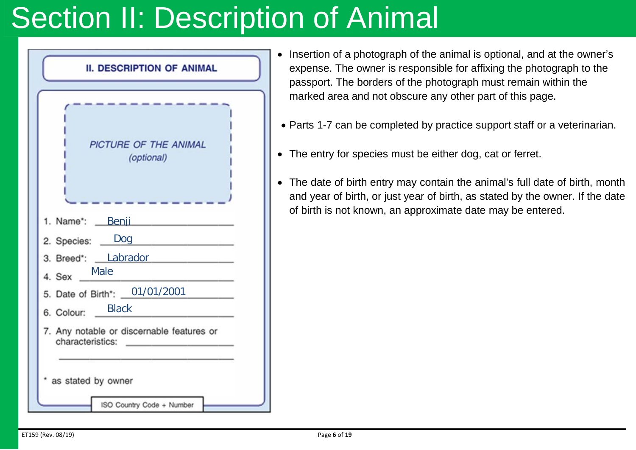### <span id="page-5-0"></span>**Section II: Description of Animal**



- Insertion of a photograph of the animal is optional, and at the owner's expense. The owner is responsible for affixing the photograph to the passport. The borders of the photograph must remain within the marked area and not obscure any other part of this page.
- Parts 1-7 can be completed by practice support staff or a veterinarian.
- The entry for species must be either dog, cat or ferret.
- The date of birth entry may contain the animal's full date of birth, month and year of birth, or just year of birth, as stated by the owner. If the date of birth is not known, an approximate date may be entered.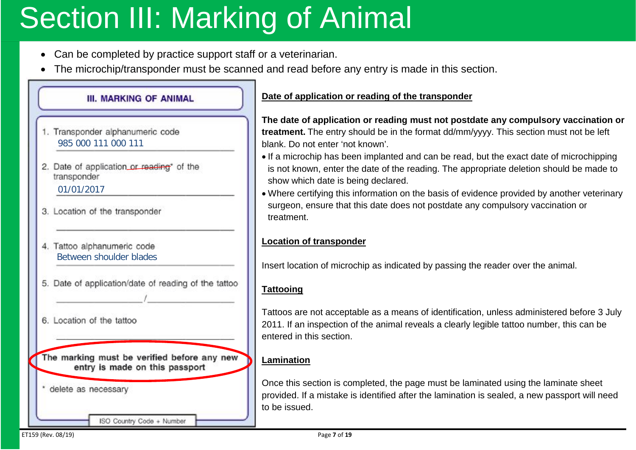### <span id="page-6-0"></span>**Section III: Marking of Animal**

- Can be completed by practice support staff or a veterinarian.
- The microchip/transponder must be scanned and read before any entry is made in this section.

### **III. MARKING OF ANIMAL** 1. Transponder alphanumeric code 985 000 111 000 111 2. Date of application or reading\* of the transponder 01/01/2017 3. Location of the transponder 4. Tattoo alphanumeric code Between shoulder blades5. Date of application/date of reading of the tattoo 6. Location of the tattoo The marking must be verified before any new entry is made on this passport delete as necessary

ISO Country Code + Number

#### **Date of application or reading of the transponder**

**The date of application or reading must not postdate any compulsory vaccination or treatment.** The entry should be in the format dd/mm/yyyy. This section must not be left blank. Do not enter 'not known'.

- If a microchip has been implanted and can be read, but the exact date of microchipping is not known, enter the date of the reading. The appropriate deletion should be made to show which date is being declared.
- Where certifying this information on the basis of evidence provided by another veterinary surgeon, ensure that this date does not postdate any compulsory vaccination or treatment.

#### **Location of transponder**

Insert location of microchip as indicated by passing the reader over the animal.

#### **Tattooing**

Tattoos are not acceptable as a means of identification, unless administered before 3 July 2011. If an inspection of the animal reveals a clearly legible tattoo number, this can be entered in this section.

#### **Lamination**

Once this section is completed, the page must be laminated using the laminate sheet provided. If a mistake is identified after the lamination is sealed, a new passport will need to be issued.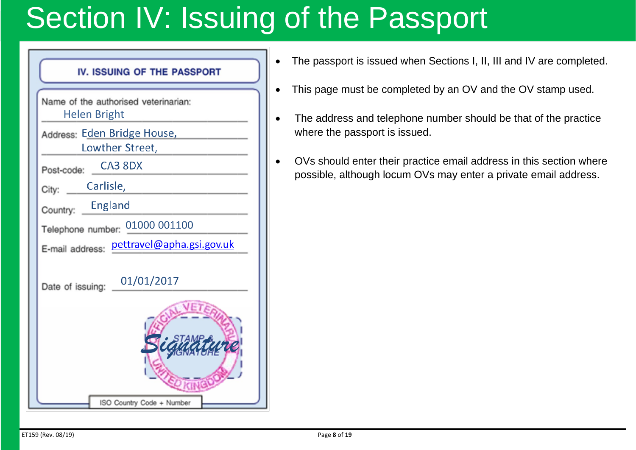### <span id="page-7-0"></span>Section IV: Issuing of the Passport

| IV. ISSUING OF THE PASSPORT                                 |
|-------------------------------------------------------------|
| Name of the authorised veterinarian:<br><b>Helen Bright</b> |
| Address: Eden Bridge House,<br>Lowther Street,              |
| CA3 8DX<br>Post-code:                                       |
| Carlisle,<br>City:                                          |
| England<br>Country:                                         |
| Telephone number: 01000 001100                              |
| E-mail address pettravel@apha.gsi.gov.uk                    |
| 01/01/2017<br>Date of issuing:                              |
| ISO Country Code + Number                                   |

- The passport is issued when Sections I, II, III and IV are completed.
- This page must be completed by an OV and the OV stamp used.
- The address and telephone number should be that of the practice where the passport is issued.
- OVs should enter their practice email address in this section where possible, although locum OVs may enter a private email address.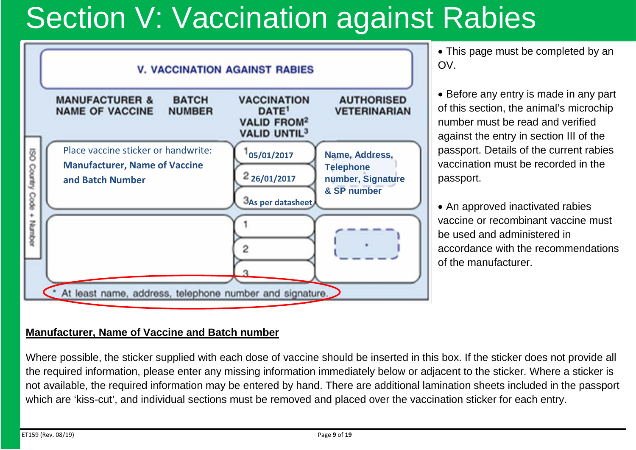### <span id="page-8-0"></span>Section V: Vaccination against Rabies



• This page must be completed by an OV.

• Before any entry is made in any part of this section, the animal's microchip number must be read and verified against the entry in section III of the passport. Details of the current rabies vaccination must be recorded in the passport.

• An approved inactivated rabies vaccine or recombinant vaccine must be used and administered in accordance with the recommendations of the manufacturer.

#### <span id="page-8-1"></span>**Manufacturer, Name of Vaccine and Batch number**

Where possible, the sticker supplied with each dose of vaccine should be inserted in this box. If the sticker does not provide all the required information, please enter any missing information immediately below or adjacent to the sticker. Where a sticker is not available, the required information may be entered by hand. There are additional lamination sheets included in the passport which are 'kiss-cut', and individual sections must be removed and placed over the vaccination sticker for each entry.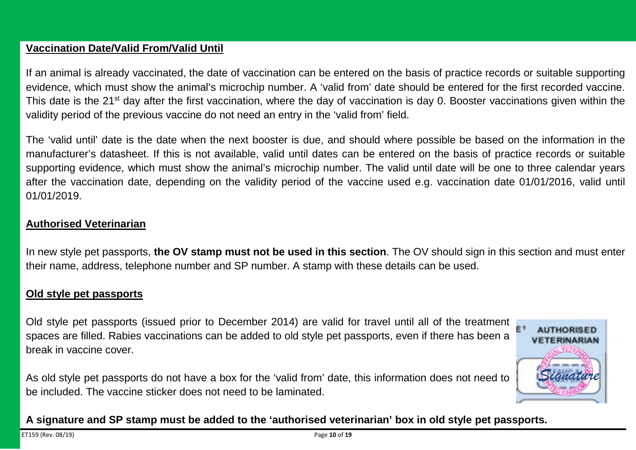#### <span id="page-9-0"></span>**Vaccination Date/Valid From/Valid Until**

If an animal is already vaccinated, the date of vaccination can be entered on the basis of practice records or suitable supporting evidence, which must show the animal's microchip number. A 'valid from' date should be entered for the first recorded vaccine. This date is the 21<sup>st</sup> day after the first vaccination, where the day of vaccination is day 0. Booster vaccinations given within the validity period of the previous vaccine do not need an entry in the 'valid from' field.

The 'valid until' date is the date when the next booster is due, and should where possible be based on the information in the manufacturer's datasheet. If this is not available, valid until dates can be entered on the basis of practice records or suitable supporting evidence, which must show the animal's microchip number. The valid until date will be one to three calendar years after the vaccination date, depending on the validity period of the vaccine used e.g. vaccination date 01/01/2016, valid until 01/01/2019.

#### <span id="page-9-1"></span>**Authorised Veterinarian**

In new style pet passports, **the OV stamp must not be used in this section**. The OV should sign in this section and must enter their name, address, telephone number and SP number. A stamp with these details can be used.

#### <span id="page-9-2"></span>**Old style pet passports**

Old style pet passports (issued prior to December 2014) are valid for travel until all of the treatment spaces are filled. Rabies vaccinations can be added to old style pet passports, even if there has been a break in vaccine cover.

As old style pet passports do not have a box for the 'valid from' date, this information does not need to be included. The vaccine sticker does not need to be laminated.

**A signature and SP stamp must be added to the 'authorised veterinarian' box in old style pet passports.**

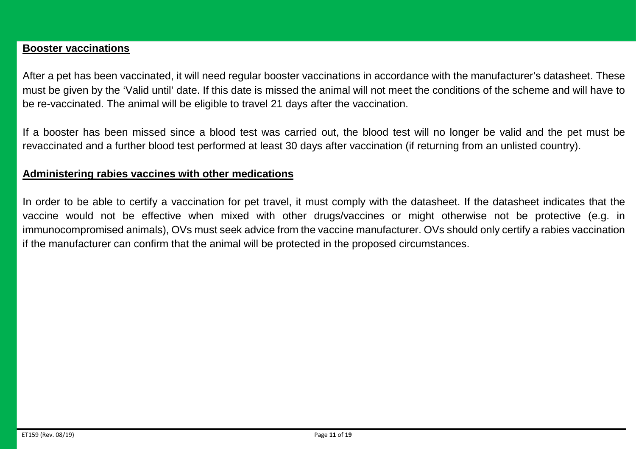#### <span id="page-10-0"></span>**Booster vaccinations**

After a pet has been vaccinated, it will need regular booster vaccinations in accordance with the manufacturer's datasheet. These must be given by the 'Valid until' date. If this date is missed the animal will not meet the conditions of the scheme and will have to be re-vaccinated. The animal will be eligible to travel 21 days after the vaccination.

If a booster has been missed since a blood test was carried out, the blood test will no longer be valid and the pet must be revaccinated and a further blood test performed at least 30 days after vaccination (if returning from an unlisted country).

#### <span id="page-10-1"></span>**Administering rabies vaccines with other medications**

In order to be able to certify a vaccination for pet travel, it must comply with the datasheet. If the datasheet indicates that the vaccine would not be effective when mixed with other drugs/vaccines or might otherwise not be protective (e.g. in immunocompromised animals), OVs must seek advice from the vaccine manufacturer. OVs should only certify a rabies vaccination if the manufacturer can confirm that the animal will be protected in the proposed circumstances.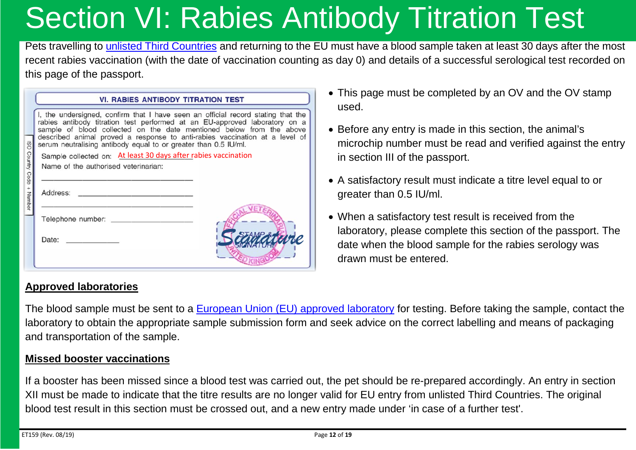## <span id="page-11-0"></span>Section VI: Rabies Antibody Titration Test

Pets travelling to [unlisted Third Countries](https://www.gov.uk/take-pet-abroad/listed-and-unlisted-countries) and returning to the EU must have a blood sample taken at least 30 days after the most recent rabies vaccination (with the date of vaccination counting as day 0) and details of a successful serological test recorded on this page of the passport.

|                                                         | <b>VI. RABIES ANTIBODY TITRATION TEST</b>                                                                                                                                                                                                                                                                                                                                                |
|---------------------------------------------------------|------------------------------------------------------------------------------------------------------------------------------------------------------------------------------------------------------------------------------------------------------------------------------------------------------------------------------------------------------------------------------------------|
| $\overline{180}$<br>Country Code<br>$\ddot{}$<br>Number | I, the undersigned, confirm that I have seen an official record stating that the<br>rabies antibody titration test performed at an EU-approved laboratory on a<br>sample of blood collected on the date mentioned below from the above<br>described animal proved a response to anti-rabies vaccination at a level of<br>serum neutralising antibody equal to or greater than 0.5 IU/ml. |
|                                                         | Sample collected on: At least 30 days after rabies vaccination                                                                                                                                                                                                                                                                                                                           |
|                                                         | Name of the authorised veterinarian:                                                                                                                                                                                                                                                                                                                                                     |
|                                                         | Address:                                                                                                                                                                                                                                                                                                                                                                                 |
|                                                         | Telephone number:                                                                                                                                                                                                                                                                                                                                                                        |
|                                                         | Date:                                                                                                                                                                                                                                                                                                                                                                                    |

<span id="page-11-1"></span>**Approved laboratories**

- This page must be completed by an OV and the OV stamp used.
- Before any entry is made in this section, the animal's microchip number must be read and verified against the entry in section III of the passport.
- A satisfactory result must indicate a titre level equal to or greater than 0.5 IU/ml.
- When a satisfactory test result is received from the laboratory, please complete this section of the passport. The date when the blood sample for the rabies serology was drawn must be entered.

The blood sample must be sent to a [European Union \(EU\) approved laboratory](https://ec.europa.eu/food/animals/pet-movement/approved-labs_en) for testing. Before taking the sample, contact the laboratory to obtain the appropriate sample submission form and seek advice on the correct labelling and means of packaging and transportation of the sample.

#### <span id="page-11-2"></span>**Missed booster vaccinations**

If a booster has been missed since a blood test was carried out, the pet should be re-prepared accordingly. An entry in section XII must be made to indicate that the titre results are no longer valid for EU entry from unlisted Third Countries. The original blood test result in this section must be crossed out, and a new entry made under 'in case of a further test'.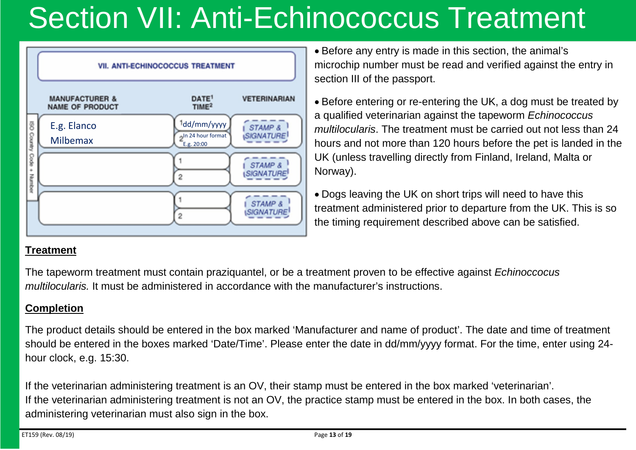## <span id="page-12-0"></span>Section VII: Anti-Echinococcus Treatment



• Before any entry is made in this section, the animal's microchip number must be read and verified against the entry in section III of the passport.

• Before entering or re-entering the UK, a dog must be treated by a qualified veterinarian against the tapeworm *Echinococcus multilocularis*. The treatment must be carried out not less than 24 hours and not more than 120 hours before the pet is landed in the UK (unless travelling directly from Finland, Ireland, Malta or Norway).

• Dogs leaving the UK on short trips will need to have this treatment administered prior to departure from the UK. This is so the timing requirement described above can be satisfied.

#### <span id="page-12-1"></span>**Treatment**

The tapeworm treatment must contain praziquantel, or be a treatment proven to be effective against *Echinoccocus multilocularis.* It must be administered in accordance with the manufacturer's instructions.

#### <span id="page-12-2"></span>**Completion**

The product details should be entered in the box marked 'Manufacturer and name of product'. The date and time of treatment should be entered in the boxes marked 'Date/Time'. Please enter the date in dd/mm/yyyy format. For the time, enter using 24 hour clock, e.g. 15:30.

If the veterinarian administering treatment is an OV, their stamp must be entered in the box marked 'veterinarian'. If the veterinarian administering treatment is not an OV, the practice stamp must be entered in the box. In both cases, the administering veterinarian must also sign in the box.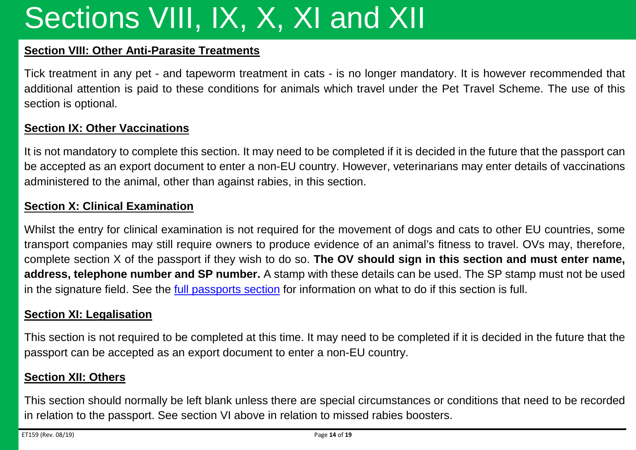## Sections VIII, IX, X, XI and XII

#### <span id="page-13-0"></span>**Section VIII: Other Anti-Parasite Treatments**

Tick treatment in any pet - and tapeworm treatment in cats - is no longer mandatory. It is however recommended that additional attention is paid to these conditions for animals which travel under the Pet Travel Scheme. The use of this section is optional.

#### <span id="page-13-1"></span>**Section IX: Other Vaccinations**

It is not mandatory to complete this section. It may need to be completed if it is decided in the future that the passport can be accepted as an export document to enter a non-EU country. However, veterinarians may enter details of vaccinations administered to the animal, other than against rabies, in this section.

#### <span id="page-13-2"></span>**Section X: Clinical Examination**

Whilst the entry for clinical examination is not required for the movement of dogs and cats to other EU countries, some transport companies may still require owners to produce evidence of an animal's fitness to travel. OVs may, therefore, complete section X of the passport if they wish to do so. **The OV should sign in this section and must enter name, address, telephone number and SP number.** A stamp with these details can be used. The SP stamp must not be used in the signature field. See the [full passports section](#page-14-2) for information on what to do if this section is full.

#### <span id="page-13-3"></span>**Section XI: Legalisation**

This section is not required to be completed at this time. It may need to be completed if it is decided in the future that the passport can be accepted as an export document to enter a non-EU country.

#### <span id="page-13-4"></span>**Section XII: Others**

This section should normally be left blank unless there are special circumstances or conditions that need to be recorded in relation to the passport. See section VI above in relation to missed rabies boosters.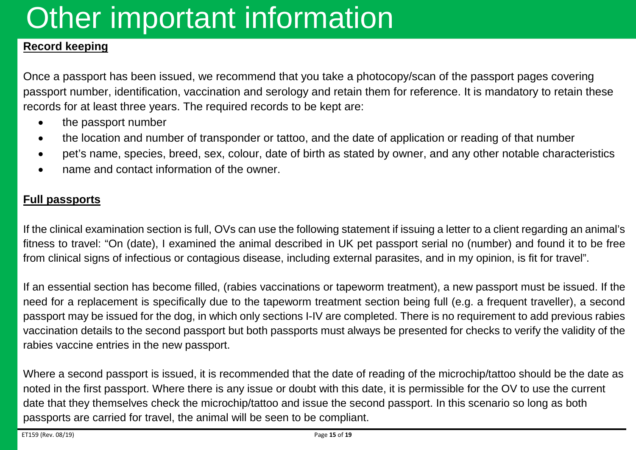### <span id="page-14-0"></span>Other important information

#### <span id="page-14-1"></span>**Record keeping**

Once a passport has been issued, we recommend that you take a photocopy/scan of the passport pages covering passport number, identification, vaccination and serology and retain them for reference. It is mandatory to retain these records for at least three years. The required records to be kept are:

- the passport number
- the location and number of transponder or tattoo, and the date of application or reading of that number
- pet's name, species, breed, sex, colour, date of birth as stated by owner, and any other notable characteristics
- name and contact information of the owner.

#### <span id="page-14-2"></span>**Full passports**

If the clinical examination section is full, OVs can use the following statement if issuing a letter to a client regarding an animal's fitness to travel: "On (date), I examined the animal described in UK pet passport serial no (number) and found it to be free from clinical signs of infectious or contagious disease, including external parasites, and in my opinion, is fit for travel".

If an essential section has become filled, (rabies vaccinations or tapeworm treatment), a new passport must be issued. If the need for a replacement is specifically due to the tapeworm treatment section being full (e.g. a frequent traveller), a second passport may be issued for the dog, in which only sections I-IV are completed. There is no requirement to add previous rabies vaccination details to the second passport but both passports must always be presented for checks to verify the validity of the rabies vaccine entries in the new passport.

Where a second passport is issued, it is recommended that the date of reading of the microchip/tattoo should be the date as noted in the first passport. Where there is any issue or doubt with this date, it is permissible for the OV to use the current date that they themselves check the microchip/tattoo and issue the second passport. In this scenario so long as both passports are carried for travel, the animal will be seen to be compliant.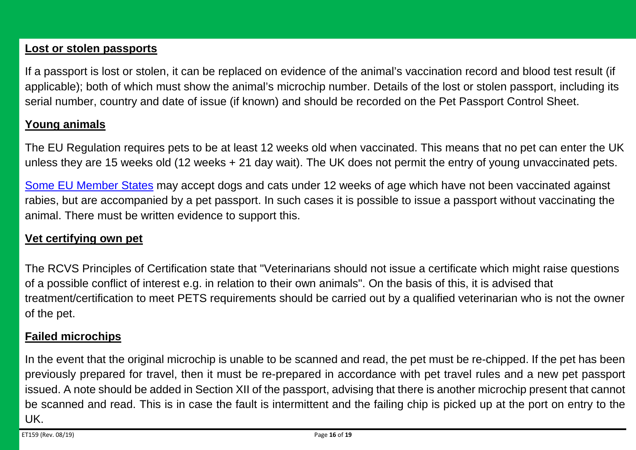#### <span id="page-15-0"></span>**Lost or stolen passports**

If a passport is lost or stolen, it can be replaced on evidence of the animal's vaccination record and blood test result (if applicable); both of which must show the animal's microchip number. Details of the lost or stolen passport, including its serial number, country and date of issue (if known) and should be recorded on the Pet Passport Control Sheet.

#### <span id="page-15-1"></span>**Young animals**

The EU Regulation requires pets to be at least 12 weeks old when vaccinated. This means that no pet can enter the UK unless they are 15 weeks old (12 weeks + 21 day wait). The UK does not permit the entry of young unvaccinated pets.

[Some EU Member States](https://ec.europa.eu/food/animals/pet-movement/eu-legislation/young-animals_en) may accept dogs and cats under 12 weeks of age which have not been vaccinated against rabies, but are accompanied by a pet passport. In such cases it is possible to issue a passport without vaccinating the animal. There must be written evidence to support this.

#### <span id="page-15-2"></span>**Vet certifying own pet**

The RCVS Principles of Certification state that "Veterinarians should not issue a certificate which might raise questions of a possible conflict of interest e.g. in relation to their own animals". On the basis of this, it is advised that treatment/certification to meet PETS requirements should be carried out by a qualified veterinarian who is not the owner of the pet.

#### <span id="page-15-3"></span>**Failed microchips**

In the event that the original microchip is unable to be scanned and read, the pet must be re-chipped. If the pet has been previously prepared for travel, then it must be re-prepared in accordance with pet travel rules and a new pet passport issued. A note should be added in Section XII of the passport, advising that there is another microchip present that cannot be scanned and read. This is in case the fault is intermittent and the failing chip is picked up at the port on entry to the UK.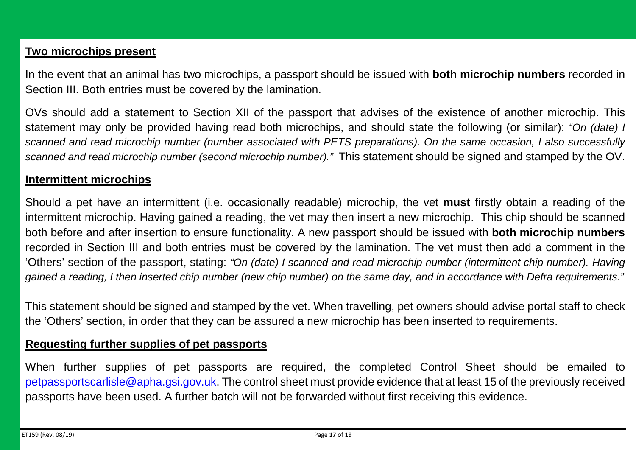#### <span id="page-16-0"></span>**Two microchips present**

In the event that an animal has two microchips, a passport should be issued with **both microchip numbers** recorded in Section III. Both entries must be covered by the lamination.

OVs should add a statement to Section XII of the passport that advises of the existence of another microchip. This statement may only be provided having read both microchips, and should state the following (or similar): *"On (date) I scanned and read microchip number (number associated with PETS preparations). On the same occasion, I also successfully scanned and read microchip number (second microchip number)."* This statement should be signed and stamped by the OV.

#### <span id="page-16-1"></span>**Intermittent microchips**

Should a pet have an intermittent (i.e. occasionally readable) microchip, the vet **must** firstly obtain a reading of the intermittent microchip. Having gained a reading, the vet may then insert a new microchip. This chip should be scanned both before and after insertion to ensure functionality. A new passport should be issued with **both microchip numbers** recorded in Section III and both entries must be covered by the lamination. The vet must then add a comment in the 'Others' section of the passport, stating: *"On (date) I scanned and read microchip number (intermittent chip number). Having gained a reading, I then inserted chip number (new chip number) on the same day, and in accordance with Defra requirements."*

This statement should be signed and stamped by the vet. When travelling, pet owners should advise portal staff to check the 'Others' section, in order that they can be assured a new microchip has been inserted to requirements.

#### <span id="page-16-2"></span>**Requesting further supplies of pet passports**

When further supplies of pet passports are required, the completed Control Sheet should be emailed to [petpassportscarlisle@apha.gsi.gov.uk.](mailto:petpassportscarlisle@apha.gsi.gov.uk) The control sheet must provide evidence that at least 15 of the previously received passports have been used. A further batch will not be forwarded without first receiving this evidence.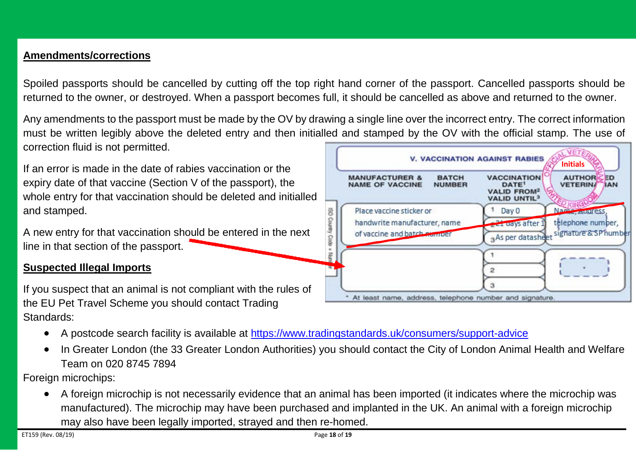#### <span id="page-17-0"></span>**Amendments/corrections**

Spoiled passports should be cancelled by cutting off the top right hand corner of the passport. Cancelled passports should be returned to the owner, or destroyed. When a passport becomes full, it should be cancelled as above and returned to the owner.

Any amendments to the passport must be made by the OV by drawing a single line over the incorrect entry. The correct information must be written legibly above the deleted entry and then initialled and stamped by the OV with the official stamp. The use of correction fluid is not permitted.

If an error is made in the date of rabies vaccination or the expiry date of that vaccine (Section V of the passport), the whole entry for that vaccination should be deleted and initialled and stamped.

A new entry for that vaccination should be entered in the next line in that section of the passport.

#### <span id="page-17-1"></span>**Suspected Illegal Imports**

If you suspect that an animal is not compliant with the rules of the EU Pet Travel Scheme you should contact Trading Standards:

- A postcode search facility is available at<https://www.tradingstandards.uk/consumers/support-advice>
- In Greater London (the 33 Greater London Authorities) you should contact the City of London Animal Health and Welfare Team on 020 8745 7894

Foreign microchips:

• A foreign microchip is not necessarily evidence that an animal has been imported (it indicates where the microchip was manufactured). The microchip may have been purchased and implanted in the UK. An animal with a foreign microchip may also have been legally imported, strayed and then re-homed.